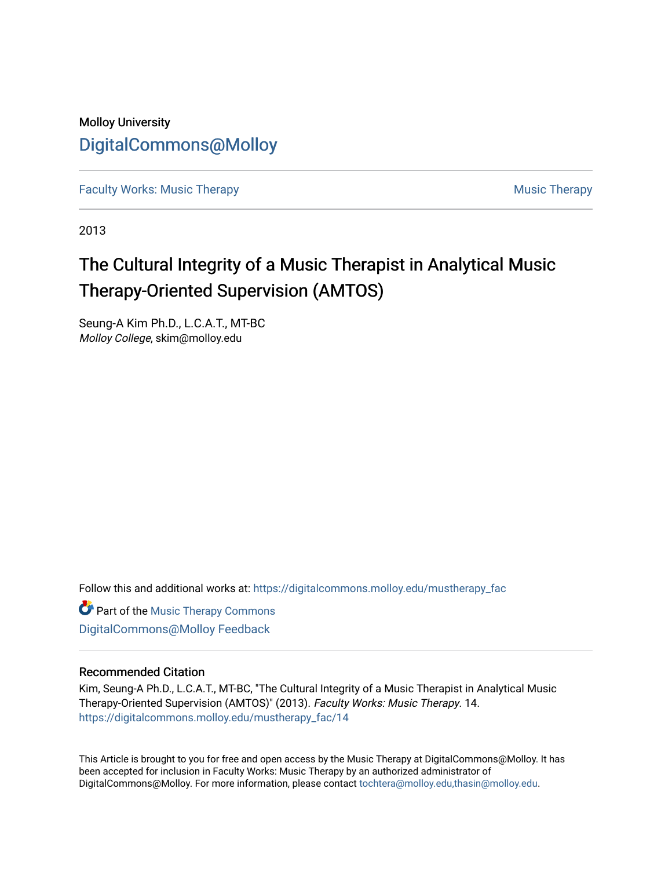### Molloy University [DigitalCommons@Molloy](https://digitalcommons.molloy.edu/)

[Faculty Works: Music Therapy](https://digitalcommons.molloy.edu/mustherapy_fac) [Music Therapy](https://digitalcommons.molloy.edu/mustherapy) Australian Security Music Therapy Music Therapy

2013

# The Cultural Integrity of a Music Therapist in Analytical Music Therapy-Oriented Supervision (AMTOS)

Seung-A Kim Ph.D., L.C.A.T., MT-BC Molloy College, skim@molloy.edu

Follow this and additional works at: [https://digitalcommons.molloy.edu/mustherapy\\_fac](https://digitalcommons.molloy.edu/mustherapy_fac?utm_source=digitalcommons.molloy.edu%2Fmustherapy_fac%2F14&utm_medium=PDF&utm_campaign=PDFCoverPages)

**Part of the [Music Therapy Commons](https://network.bepress.com/hgg/discipline/1248?utm_source=digitalcommons.molloy.edu%2Fmustherapy_fac%2F14&utm_medium=PDF&utm_campaign=PDFCoverPages)** [DigitalCommons@Molloy Feedback](https://molloy.libwizard.com/f/dcfeedback)

#### Recommended Citation

Kim, Seung-A Ph.D., L.C.A.T., MT-BC, "The Cultural Integrity of a Music Therapist in Analytical Music Therapy-Oriented Supervision (AMTOS)" (2013). Faculty Works: Music Therapy. 14. [https://digitalcommons.molloy.edu/mustherapy\\_fac/14](https://digitalcommons.molloy.edu/mustherapy_fac/14?utm_source=digitalcommons.molloy.edu%2Fmustherapy_fac%2F14&utm_medium=PDF&utm_campaign=PDFCoverPages) 

This Article is brought to you for free and open access by the Music Therapy at DigitalCommons@Molloy. It has been accepted for inclusion in Faculty Works: Music Therapy by an authorized administrator of DigitalCommons@Molloy. For more information, please contact [tochtera@molloy.edu,thasin@molloy.edu.](mailto:tochtera@molloy.edu,thasin@molloy.edu)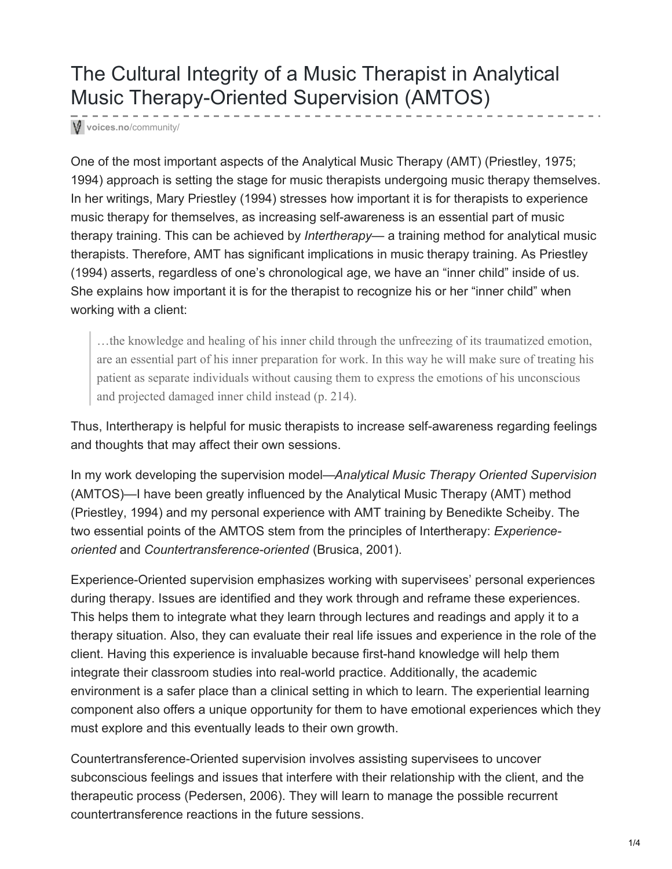## The Cultural Integrity of a Music Therapist in Analytical Music Therapy-Oriented Supervision (AMTOS)

**voices.no**[/community/](https://voices.no/community/?q=fortnightly-columns/2013-cultural-integrity-music-therapist-analytical-music-therapy-oriented-superv)

One of the most important aspects of the Analytical Music Therapy (AMT) (Priestley, 1975; 1994) approach is setting the stage for music therapists undergoing music therapy themselves. In her writings, Mary Priestley (1994) stresses how important it is for therapists to experience music therapy for themselves, as increasing self-awareness is an essential part of music therapy training. This can be achieved by *Intertherapy*— a training method for analytical music therapists. Therefore, AMT has significant implications in music therapy training. As Priestley (1994) asserts, regardless of one's chronological age, we have an "inner child" inside of us. She explains how important it is for the therapist to recognize his or her "inner child" when working with a client:

…the knowledge and healing of his inner child through the unfreezing of its traumatized emotion, are an essential part of his inner preparation for work. In this way he will make sure of treating his patient as separate individuals without causing them to express the emotions of his unconscious and projected damaged inner child instead (p. 214).

Thus, Intertherapy is helpful for music therapists to increase self-awareness regarding feelings and thoughts that may affect their own sessions.

In my work developing the supervision model—*Analytical Music Therapy Oriented Supervision* (AMTOS)—I have been greatly influenced by the Analytical Music Therapy (AMT) method (Priestley, 1994) and my personal experience with AMT training by Benedikte Scheiby. The two essential points of the AMTOS stem from the principles of Intertherapy: *Experienceoriented* and *Countertransference-oriented* (Brusica, 2001).

Experience-Oriented supervision emphasizes working with supervisees' personal experiences during therapy. Issues are identified and they work through and reframe these experiences. This helps them to integrate what they learn through lectures and readings and apply it to a therapy situation. Also, they can evaluate their real life issues and experience in the role of the client. Having this experience is invaluable because first-hand knowledge will help them integrate their classroom studies into real-world practice. Additionally, the academic environment is a safer place than a clinical setting in which to learn. The experiential learning component also offers a unique opportunity for them to have emotional experiences which they must explore and this eventually leads to their own growth.

Countertransference-Oriented supervision involves assisting supervisees to uncover subconscious feelings and issues that interfere with their relationship with the client, and the therapeutic process (Pedersen, 2006). They will learn to manage the possible recurrent countertransference reactions in the future sessions.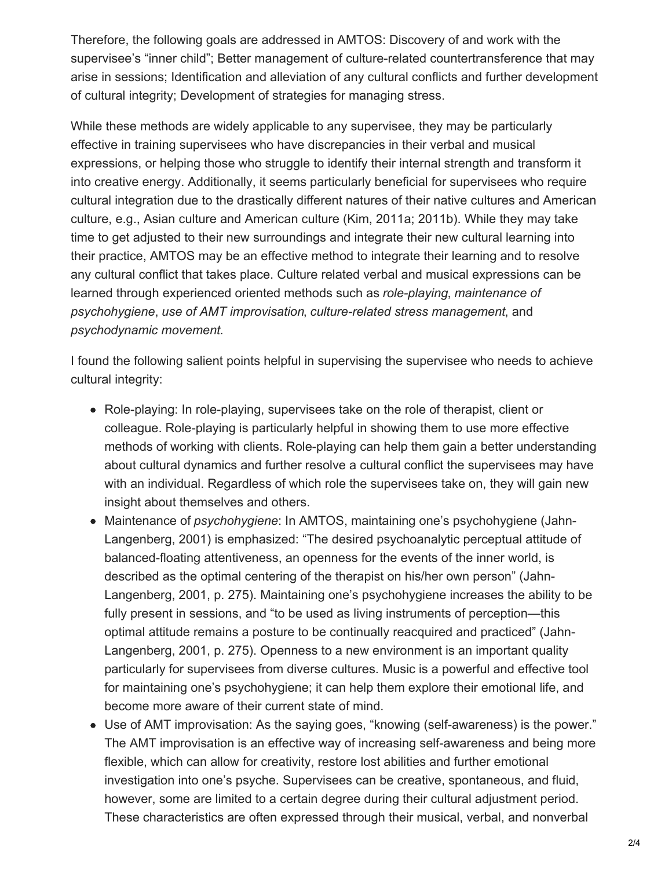Therefore, the following goals are addressed in AMTOS: Discovery of and work with the supervisee's "inner child"; Better management of culture-related countertransference that may arise in sessions; Identification and alleviation of any cultural conflicts and further development of cultural integrity; Development of strategies for managing stress.

While these methods are widely applicable to any supervisee, they may be particularly effective in training supervisees who have discrepancies in their verbal and musical expressions, or helping those who struggle to identify their internal strength and transform it into creative energy. Additionally, it seems particularly beneficial for supervisees who require cultural integration due to the drastically different natures of their native cultures and American culture, e.g., Asian culture and American culture (Kim, 2011a; 2011b). While they may take time to get adjusted to their new surroundings and integrate their new cultural learning into their practice, AMTOS may be an effective method to integrate their learning and to resolve any cultural conflict that takes place. Culture related verbal and musical expressions can be learned through experienced oriented methods such as *role-playing*, *maintenance of psychohygiene*, *use of AMT improvisation*, *culture-related stress management*, and *psychodynamic movement*.

I found the following salient points helpful in supervising the supervisee who needs to achieve cultural integrity:

- Role-playing: In role-playing, supervisees take on the role of therapist, client or colleague. Role-playing is particularly helpful in showing them to use more effective methods of working with clients. Role-playing can help them gain a better understanding about cultural dynamics and further resolve a cultural conflict the supervisees may have with an individual. Regardless of which role the supervisees take on, they will gain new insight about themselves and others.
- Maintenance of *psychohygiene*: In AMTOS, maintaining one's psychohygiene (Jahn-Langenberg, 2001) is emphasized: "The desired psychoanalytic perceptual attitude of balanced-floating attentiveness, an openness for the events of the inner world, is described as the optimal centering of the therapist on his/her own person" (Jahn-Langenberg, 2001, p. 275). Maintaining one's psychohygiene increases the ability to be fully present in sessions, and "to be used as living instruments of perception—this optimal attitude remains a posture to be continually reacquired and practiced" (Jahn-Langenberg, 2001, p. 275). Openness to a new environment is an important quality particularly for supervisees from diverse cultures. Music is a powerful and effective tool for maintaining one's psychohygiene; it can help them explore their emotional life, and become more aware of their current state of mind.
- Use of AMT improvisation: As the saying goes, "knowing (self-awareness) is the power." The AMT improvisation is an effective way of increasing self-awareness and being more flexible, which can allow for creativity, restore lost abilities and further emotional investigation into one's psyche. Supervisees can be creative, spontaneous, and fluid, however, some are limited to a certain degree during their cultural adjustment period. These characteristics are often expressed through their musical, verbal, and nonverbal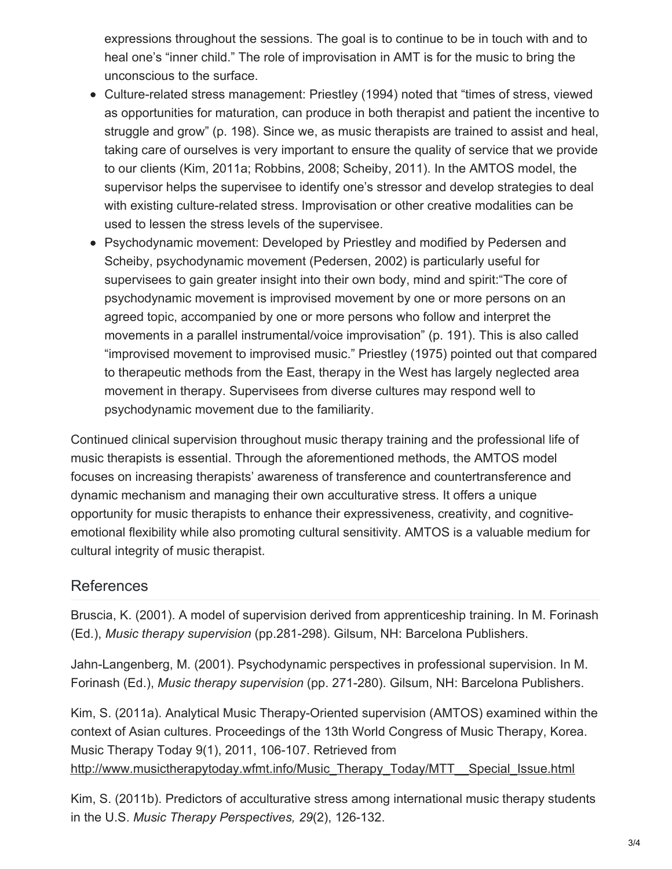expressions throughout the sessions. The goal is to continue to be in touch with and to heal one's "inner child." The role of improvisation in AMT is for the music to bring the unconscious to the surface.

- Culture-related stress management: Priestley (1994) noted that "times of stress, viewed as opportunities for maturation, can produce in both therapist and patient the incentive to struggle and grow" (p. 198). Since we, as music therapists are trained to assist and heal, taking care of ourselves is very important to ensure the quality of service that we provide to our clients (Kim, 2011a; Robbins, 2008; Scheiby, 2011). In the AMTOS model, the supervisor helps the supervisee to identify one's stressor and develop strategies to deal with existing culture-related stress. Improvisation or other creative modalities can be used to lessen the stress levels of the supervisee.
- Psychodynamic movement: Developed by Priestley and modified by Pedersen and Scheiby, psychodynamic movement (Pedersen, 2002) is particularly useful for supervisees to gain greater insight into their own body, mind and spirit:"The core of psychodynamic movement is improvised movement by one or more persons on an agreed topic, accompanied by one or more persons who follow and interpret the movements in a parallel instrumental/voice improvisation" (p. 191). This is also called "improvised movement to improvised music." Priestley (1975) pointed out that compared to therapeutic methods from the East, therapy in the West has largely neglected area movement in therapy. Supervisees from diverse cultures may respond well to psychodynamic movement due to the familiarity.

Continued clinical supervision throughout music therapy training and the professional life of music therapists is essential. Through the aforementioned methods, the AMTOS model focuses on increasing therapists' awareness of transference and countertransference and dynamic mechanism and managing their own acculturative stress. It offers a unique opportunity for music therapists to enhance their expressiveness, creativity, and cognitiveemotional flexibility while also promoting cultural sensitivity. AMTOS is a valuable medium for cultural integrity of music therapist.

### References

Bruscia, K. (2001). A model of supervision derived from apprenticeship training. In M. Forinash (Ed.), *Music therapy supervision* (pp.281-298). Gilsum, NH: Barcelona Publishers.

Jahn-Langenberg, M. (2001). Psychodynamic perspectives in professional supervision. In M. Forinash (Ed.), *Music therapy supervision* (pp. 271-280). Gilsum, NH: Barcelona Publishers.

Kim, S. (2011a). Analytical Music Therapy-Oriented supervision (AMTOS) examined within the context of Asian cultures. Proceedings of the 13th World Congress of Music Therapy, Korea. Music Therapy Today 9(1), 2011, 106-107. Retrieved from [http://www.musictherapytoday.wfmt.info/Music\\_Therapy\\_Today/MTT\\_\\_Special\\_Issue.html](http://www.musictherapytoday.wfmt.info/Music_Therapy_Today/MTT__Special_Issue.html)

Kim, S. (2011b). Predictors of acculturative stress among international music therapy students in the U.S. *Music Therapy Perspectives, 29*(2), 126-132.